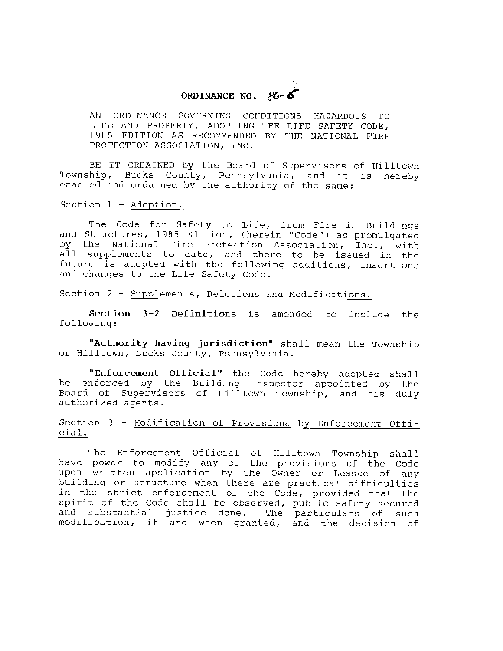# ~ **ORDINANCE NO.** *816-* '

AN ORDINANCE GOVERNING CONDITIONS HAZARDOUS TO LIFE AND PROPERTY, ADOPTING THE LIFE SAFETY CODE, 1985 EDITION AS RECOMMENDED BY THE NATIONAL FIRE PROTECTION ASSOCIATION, INC.

BE IT ORDAINED by the Board of Supervisors of Hilltown Township, Bucks County, Pennsylvania, and it is hereby enacted and ordained by the authority of the same:

Section 1 - Adoption.

The Code for Safety to Life, from Fire in Buildings and Structures, 1985 Edition, (herein "Code") as promulgated by the National Fire Protection Association, Inc., with all supplements to date, and there to be issued in the future is adopted with the following additions, insertions and changes to the Life Safety Code.

Section 2 - Supplements, Deletions and Modifications.

**Section 3-2 Definitions** is amended to include the following:

**nAuthority having jurisdiction"** shall mean the Township of Hilltown, Bucks County, Pennsylvania.

"Enforcement Official" the Code hereby adopted shall be enforced by the Building Inspector appointed by the Board of Supervisors of Hilltown Township, and his duly authorized agents.

## Section 3 - Modification of Provisions by Enforcement Official.

The Enforcement Official of Hilltown Township shall have power to modify any of the provisions of the Code upon written application by the Owner or Leasee of any building or structure when there are practical difficulties in the strict enforcement of the Code, provided that the spirit of the Code shall be observed, public safety secured<br>and substantial justice done. The particulars of such and substantial justice done. modification, if and when granted, and the decision of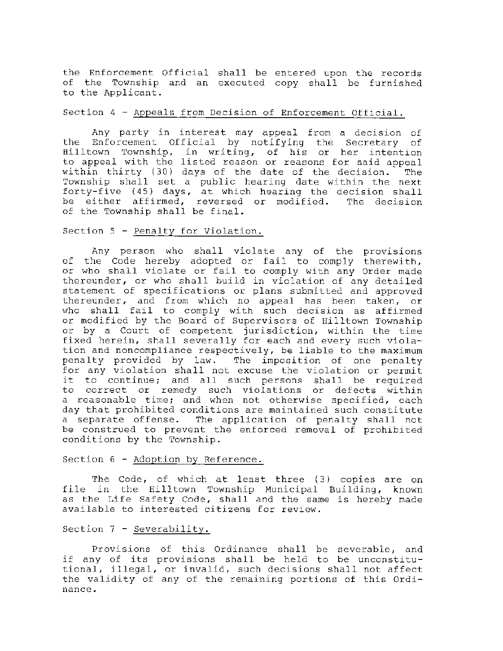the Enforcement Official shall be entered upon the records of the Township and an executed copy shall be furnished to the Applicant.

#### Section 4 - Appeals from Decision of Enforcement Official.

Any party in interest may appeal from a decision of the Enforcement Official by notifying the Secretary of International Contract by houring the Secretary of hilltown Township, in writing, of his or her intention to appeal with the listed reason or reasons for said appeal within thirty ( 30) days of the date of the decision. The Township shall set a public hearing date within the next forty-five (45) days, at which hearing the decision shall be either affirmed, reversed or modified. The decision of the Township shall be final.

#### Section 5 - Penalty for Violation.

Any person who shall violate any of the provisions of the Code hereby adopted or fail to comply therewith, or who shall violate or fail to comply with any Order made thereunder, or who shall build in violation of any detailed statement of specifications or plans submitted and approved thereunder, and from which no appeal has been taken, or who shall fail to comply with such decision as affirmed or modified by the Board of Supervisors of Hilltown Township or by a Court of competent jurisdiction, within the time fixed herein, shall severally for each and every such violation and noncompliance respectively, be liable to the maximum penalty provided by law. The imposition of one penalty for any violation shall not excuse the violation or permit it to continue; and all such persons shall be required to correct or remedy such violations or defects within a reasonable time; and when not otherwise specified, each day that prohibited conditions are maintained such constitute a separate offense. The application of penalty shall not be construed to prevent the enforced removal of prohibited conditions by the Township.

#### Section 6 - Adoption by Reference.

The Code, of which at least three (3) copies are on file in the Hilltown Township Municipal Building, known as the Life Safety Code, shall and the same is hereby made available to interested citizens for review.

#### Section 7 - Severability.

Provisions of this Ordinance shall be severable, and if any of its provisions shall be held to be unconstitutional, illegal, or invalid, such decisions shall not affect the validity of any of the remaining portions of this Ordinance.